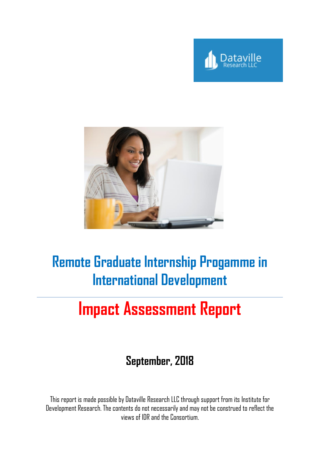



# **Remote Graduate Internship Progamme in International Development**

# **Impact Assessment Report**

# **September, 2018**

This report is made possible by Dataville Research LLC through support from its Institute for Development Research. The contents do not necessarily and may not be construed to reflect the views of IDR and the Consortium.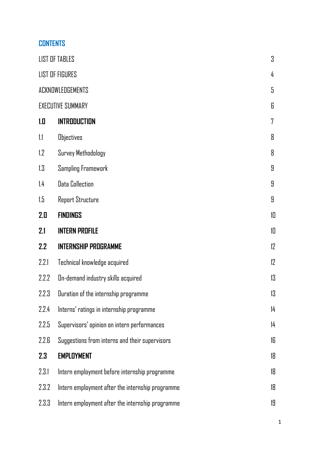# **CONTENTS**

|       | <b>LIST OF TABLES</b>                            | 3  |
|-------|--------------------------------------------------|----|
|       | <b>LIST OF FIGURES</b>                           | 4  |
|       | ACKNOWLEDGEMENTS                                 | 5  |
|       | <b>EXECUTIVE SUMMARY</b>                         | 6  |
| 1.0   | <b>INTRODUCTION</b>                              | 7  |
| 1.1   | <b>Objectives</b>                                | 8  |
| 1.2   | Survey Methodology                               | 8  |
| 1.3   | <b>Sampling Framework</b>                        | 9  |
| 1.4   | <b>Data Collection</b>                           | 9  |
| 1.5   | <b>Report Structure</b>                          | 9  |
| 2.I   | <b>FINDINGS</b>                                  | 10 |
| 2.1   | <b>INTERN PROFILE</b>                            | 10 |
| 2.2   | <b>INTERNSHIP PROGRAMME</b>                      | 12 |
| 2.2.1 | Technical knowledge acquired                     | 12 |
| 2.2.2 | On-demand industry skills acquired               | 13 |
| 2.2.3 | Duration of the internship programme             | 13 |
| 2.2.4 | Interns' ratings in internship programme         | 14 |
| 2.2.5 | Supervisors' opinion on intern performances      | 14 |
| 2.2.E | Suggestions from interns and their supervisors   | 16 |
| 2.3   | <b>EMPLOYMENT</b>                                | 18 |
| 2.3.1 | Intern employment before internship programme    | 18 |
| 2.3.2 | Intern employment after the internship programme | 18 |
| 2.3.3 | Intern employment after the internship programme | 19 |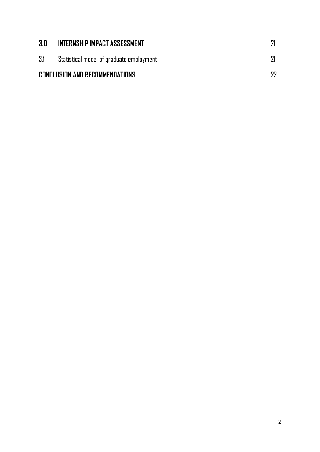| 3.0 | INTERNSHIP IMPACT ASSESSMENT             |    |
|-----|------------------------------------------|----|
| 3.1 | Statistical model of graduate employment |    |
|     | CONCLUSION AND RECOMMENDATIONS           | 77 |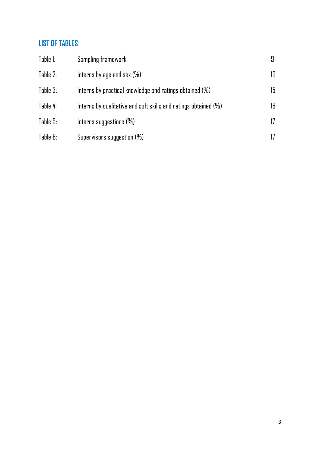# **LIST OF TABLES**

| Table 1: | Sampling framework                                                 |     |
|----------|--------------------------------------------------------------------|-----|
| Table 2: | Interns by age and sex $(\%)$                                      | 10  |
| Table 3: | Interns by practical knowledge and ratings obtained $(\%)$         | 15. |
| Table 4: | Interns by qualitative and soft skills and ratings obtained $(\%)$ | 16. |
| Table 5: | Interns suggestions $(\%)$                                         | 17  |
| Table G: | Supervisors suggestion $(\%)$                                      |     |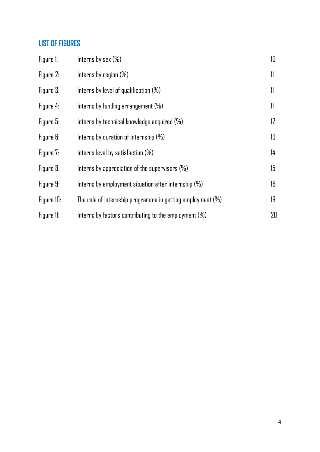#### **LIST OF FIGURES**

| Figure 1:  | Interns by sex $(\%)$                                         | 10 |
|------------|---------------------------------------------------------------|----|
| Figure 2:  | Interns by region $(\%)$                                      | 11 |
| Figure 3:  | Interns by level of qualification $(\%)$                      | 11 |
| Figure 4:  | Interns by funding arrangement $(\%)$                         | 11 |
| Figure 5:  | Interns by technical knowledge acquired $(\%)$                | 12 |
| Figure 6:  | Interns by duration of internship $(\%)$                      | 13 |
| Figure 7:  | Interns level by satisfaction $(\%)$                          | 14 |
| Figure 8:  | Interns by appreciation of the supervisors $(\%)$             | 15 |
| Figure 9:  | Interns by employment situation after internship $(\%)$       | 18 |
| Figure 10: | The role of internship programme in getting employment $(\%)$ | 19 |
| Figure 11: | Interns by factors contributing to the employment $(\%)$      | 20 |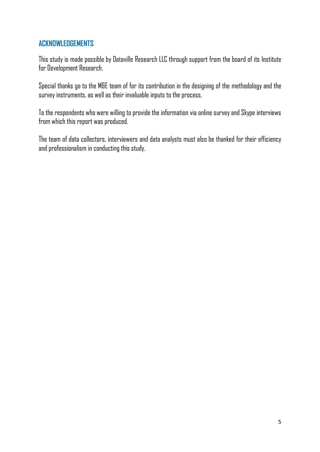#### **ACKNOWLEDGEMENTS**

This study is made possible by Dataville Research LLC through support from the board of its Institute for Development Research.

Special thanks go to the M&E team of for its contribution in the designing of the methodology and the survey instruments, as well as their invaluable inputs to the process.

To the respondents who were willing to provide the information via online survey and Skype interviews from which this report was produced.

The team of data collectors, interviewers and data analysts must also be thanked for their efficiency and professionalism in conducting this study.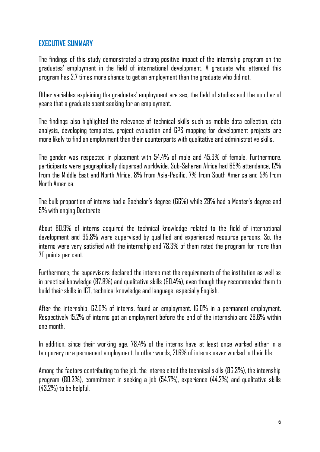#### **EXECUTIVE SUMMARY**

The findings of this study demonstrated a strong positive impact of the internship program on the graduates' employment in the field of international development. A graduate who attended this program has 2.7 times more chance to get an employment than the graduate who did not.

Other variables explaining the graduates' employment are sex, the field of studies and the number of years that a graduate spent seeking for an employment.

The findings also highlighted the relevance of technical skills such as mobile data collection, data analysis, developing templates, project evaluation and GPS mapping for development projects are more likely to find an employment than their counterparts with qualitative and administrative skills.

The gender was respected in placement with 54.4% of male and 45.6% of female. Furthermore, participants were geographically dispersed worldwide. Sub-Saharan Africa had 69% attendance, 12% from the Middle East and North Africa, 8% from Asia-Pacific, 7% from South America and 5% from North America.

The bulk proportion of interns had a Bachelor's degree (66%) while 29% had a Master's degree and 5% with onging Doctorate.

About 80.9% of interns acquired the technical knowledge related to the field of international development and 95.8% were supervised by qualified and experienced resource persons. So, the interns were very satisfied with the internship and 78.3% of them rated the program for more than 70 points per cent.

Furthermore, the supervisors declared the interns met the requirements of the institution as well as in practical knowledge (87.8%) and qualitative skills (90.4%), even though they recommended them to build their skills in ICT, technical knowledge and language, especially English.

After the internship, 62.0% of interns, found an employment. 16.0% in a permanent employment. Respectively 15.2% of interns got an employment before the end of the internship and 28.6% within one month.

In addition, since their working age, 78.4% of the interns have at least once worked either in a temporary or a permanent employment. In other words, 21.6% of interns never worked in their life.

Among the factors contributing to the job, the interns cited the technical skills (86.3%), the internship program (80.3%), commitment in seeking a job (54.7%), experience (44.2%) and qualitative skills (43.2%) to be helpful.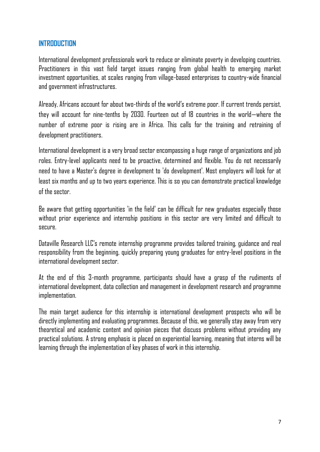#### **INTRODUCTION**

International development professionals work to reduce or eliminate poverty in developing countries. Practitioners in this vast field target issues ranging from global health to emerging market investment opportunities, at scales ranging from village-based enterprises to country-wide financial and government infrastructures.

Already, Africans account for about two-thirds of the world's extreme poor. If current trends persist, they will account for nine-tenths by 2030. Fourteen out of 18 countries in the world—where the number of extreme poor is rising are in Africa. This calls for the training and retraining of development practitioners.

International development is a very broad sector encompassing a huge range of organizations and job roles. Entry-level applicants need to be proactive, determined and flexible. You do not necessarily need to have a Master's degree in development to 'do development'. Most employers will look for at least six months and up to two years experience. This is so you can demonstrate practical knowledge of the sector.

Be aware that getting opportunities 'in the field' can be difficult for new graduates especially those without prior experience and internship positions in this sector are very limited and difficult to secure.

Dataville Research LLC's remote internship programme provides tailored training, guidance and real responsibility from the beginning, quickly preparing young graduates for entry-level positions in the international development sector.

At the end of this 3-month programme, participants should have a grasp of the rudiments of international development, data collection and management in development research and programme implementation.

The main target audience for this internship is international development prospects who will be directly implementing and evaluating programmes. Because of this, we generally stay away from very theoretical and academic content and opinion pieces that discuss problems without providing any practical solutions. A strong emphasis is placed on experiential learning, meaning that interns will be learning through the implementation of key phases of work in this internship.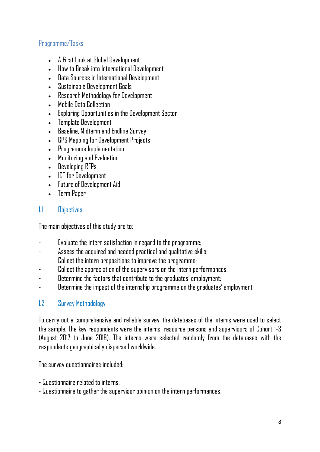#### Programme/Tasks

- A First Look at Global Development
- How to Break into International Development
- Data Sources in International Development
- Sustainable Development Goals
- Research Methodology for Development
- Mobile Data Collection
- Exploring Opportunities in the Development Sector
- Template Development
- Baseline, Midterm and Endline Survey
- GPS Mapping for Development Projects
- Programme Implementation
- Monitoring and Evaluation
- Developing RFPs
- ICT for Development
- Future of Development Aid
- Term Paper

#### 1.1 Objectives

The main objectives of this study are to:

- Evaluate the intern satisfaction in regard to the programme;
- Assess the acquired and needed practical and qualitative skills;
- Collect the intern propositions to improve the programme;
- Collect the appreciation of the supervisors on the intern performances;
- Determine the factors that contribute to the graduates' employment;
- Determine the impact of the internship programme on the graduates' employment

#### 1.2 Survey Methodology

To carry out a comprehensive and reliable survey, the databases of the interns were used to select the sample. The key respondents were the interns, resource persons and supervisors of Cohort 1-3 (August 2017 to June 2018). The interns were selected randomly from the databases with the respondents geographically dispersed worldwide.

The survey questionnaires included:

- Questionnaire related to interns;
- Questionnaire to gather the supervisor opinion on the intern performances.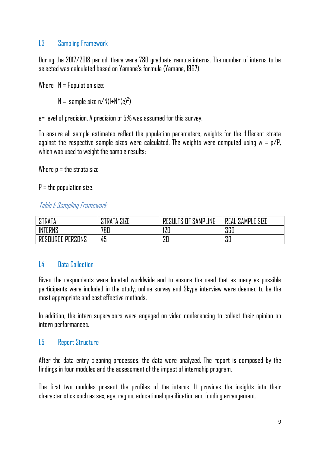#### 1.3 Sampling Framework

During the 2017/2018 period, there were 780 graduate remote interns. The number of interns to be selected was calculated based on Yamane's formula (Yamane, 1967).

Where  $N =$  Population size;

 $N =$  sample size n/N(1+N\*(e)<sup>2</sup>)

e= level of precision. A precision of 5% was assumed for this survey.

To ensure all sample estimates reflect the population parameters, weights for the different strata against the respective sample sizes were calculated. The weights were computed using  $w = p/P$ , which was used to weight the sample results;

Where  $p =$  the strata size

 $P =$  the population size.

#### Table 1: Sampling Framework

| <b>STRATA</b>                       | SIZE<br><b>TRATA.</b> | SAMPLING<br>ΤQ<br><b>DEOUI</b><br>0 <sup>F</sup><br>19 | <b>SAMPLE SIZE</b><br>REAL |
|-------------------------------------|-----------------------|--------------------------------------------------------|----------------------------|
| <b>INTERNS</b>                      | 780                   | חפו<br>IZU                                             | 360                        |
| PERSONS<br><b>:OURCE</b><br>RE<br>ப | 45                    | 20                                                     | 30                         |

#### 14 Data Collection

Given the respondents were located worldwide and to ensure the need that as many as possible participants were included in the study, online survey and Skype interview were deemed to be the mostappropriate and cost effective methods.

In addition, the intern supervisors were engaged on video conferencing to collect their opinion on intern performances.

#### 1.5 Report Structure

After the data entry cleaning processes, the data were analyzed. The report is composed by the findings in four modules and the assessment of the impact of internship program.

The first two modules present the profiles of the interns. It provides the insights into their characteristics such as sex, age, region, educational qualificationand funding arrangement.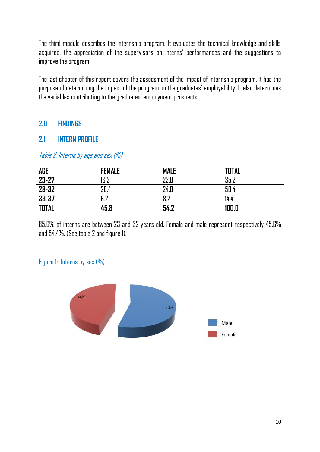The third module describes the internship program. It evaluates the technical knowledge and skills acquired; the appreciation of the supervisors on interns' performances and the suggestions to improve the program.

The last chapter of this report covers the assessment of the impact of internship program. It has the purpose of determining the impact of the program on the graduates' employability. It also determines the variables contributing to the graduates' employment prospects.

#### **2.0 FINDINGS**

#### **2.1 INTERN PROFILE**

| <b>AGE</b>   | <b>FEMALE</b> | <b>MALE</b> | <b>TOTAL</b> |
|--------------|---------------|-------------|--------------|
| 23-27        | 13.2          | 22.0        | 35.2         |
| 28-32        | 26.4          | 24.D        | 50.4         |
| 33-37        | 6.2           | 8.2         | 14.4         |
| <b>TOTAL</b> | 45.8          | 54.2        | 100.0        |

Table 2: Interns by age and sex (%)

85.6% of interns are between 23 and 32 years old. Female and male represent respectively 45.6% and 54.4%. (See table 2 and figure 1).

#### Figure 1: Interns by sex (%)

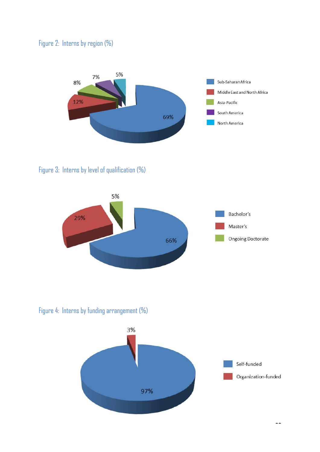#### Figure 2: Interns by region (%)



Figure 3: Interns by level of qualification (%)



Figure 4: Interns by funding arrangement (%)

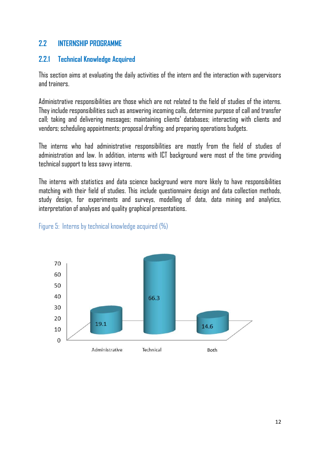#### **2.2 INTERNSHIP PROGRAMME**

#### **2.2.1 Technical Knowledge Acquired**

This section aims at evaluating the daily activities of the intern and the interaction with supervisors and trainers.

Administrative responsibilities are those which are not related to the field of studies of the interns. They include responsibilities such as answering incoming calls, determine purpose of call and transfer call; taking and delivering messages; maintaining clients' databases; interacting with clients and vendors; scheduling appointments; proposal drafting; and preparing operations budgets.

The interns who had administrative responsibilities are mostly from the field of studies of administration and law. In addition, interns with ICT background were most of the time providing technical support to less savvy interns.

The interns with statistics and data science background were more likely to have responsibilities matching with their field of studies. This include questionnaire design and data collection methods, study design, for experiments and surveys, modelling of data, data mining and analytics, interpretation of analyses and quality graphical presentations.



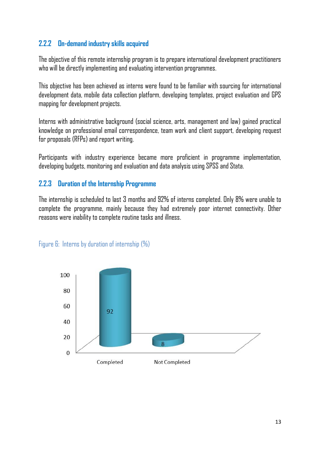#### **2.2.2 On-demand industry skills acquired**

The objective of this remote internship program is to prepare international development practitioners who will be directly implementing and evaluating intervention programmes.

This objective has been achieved as interns were found to be familiar with sourcing for international development data, mobile data collection platform, developing templates, project evaluation and GPS mapping for development projects.

Interns with administrative background (social science, arts, management and law) gained practical knowledge on professional email correspondence, team work and client support, developing request for proposals (RFPs) and report writing.

Participants with industry experience became more proficient in programme implementation, developing budgets, monitoring and evaluation and data analysis using SPSS and Stata.

#### **2.2.3 Duration of the Internship Programme**

The internship is scheduled to last 3 months and 92% of interns completed. Only 8% were unable to complete the programme, mainly because they had extremely poor internet connectivity. Other reasons were inability to complete routine tasks and illness.



Figure 6: Interns by duration of internship (%)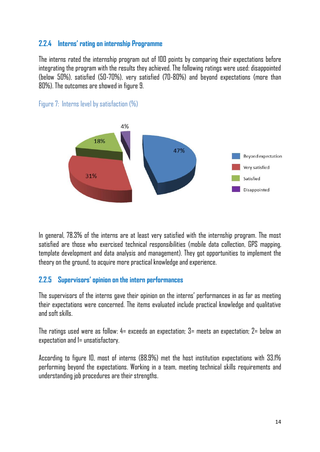#### **2.2.4 Interns' rating on internship Programme**

The interns rated the internship program out of 100 points by comparing their expectations before integrating the program with the results they achieved. The following ratings were used: disappointed (below 50%), satisfied (50-70%), very satisfied (70-80%) and beyond expectations (more than 80%). The outcomes are showed in figure 9.





In general, 78.3% of the interns are at least very satisfied with the internship program. The most satisfied are those who exercised technical responsibilities (mobile data collection, GPS mapping, template development and data analysis and management). They got opportunities to implement the theory on the ground, to acquire more practical knowledge and experience.

#### **2.2.5 Supervisors' opinion on the intern performances**

The supervisors of the interns gave their opinion on the interns' performances in as far as meeting their expectations were concerned. The items evaluated include practical knowledge and qualitative and soft skills.

The ratings used were as follow: 4= exceeds an expectation; 3= meets an expectation; 2= below an expectation and 1= unsatisfactory.

According to figure 10, most of interns (88.9%) met the host institution expectations with 33.1% performing beyond the expectations. Working in a team, meeting technical skills requirements and understanding job procedures are their strengths.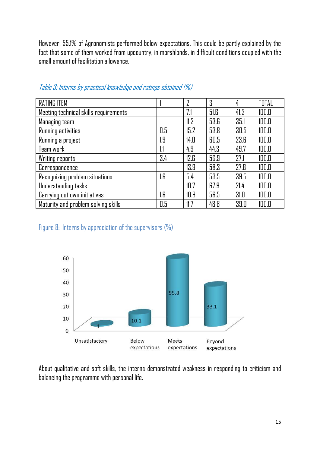However, 55.1% of Agronomists performed below expectations. This could be partly explained by the fact that some of them worked from upcountry, in marshlands, in difficult conditions coupled with the small amount of facilitation allowance.

| <b>RATING ITEM</b>                    |     | $\overline{2}$ | 3    | 4    | TOTAL |
|---------------------------------------|-----|----------------|------|------|-------|
| Meeting technical skills requirements |     | 7.1            | 51.6 | 41.3 | 100.0 |
| Managing team                         |     | 11.3           | 53.6 | 35.1 | 100.0 |
| Running activities                    | 0.5 | 15.2           | 53.8 | 30.5 | 100.0 |
| Running a project                     | r.9 | 14.0           | 60.5 | 23.6 | 100.0 |
| Team work                             | 1.1 | 4.9            | 44.3 | 49.7 | 100.0 |
| <b>Writing reports</b>                | 3.4 | 12.6           | 56.9 | 27.1 | 100.0 |
| Correspondence                        |     | 13.9           | 58.3 | 27.8 | 100.0 |
| Recognizing problem situations        | .G  | 5.4            | 53.5 | 39.5 | 100.0 |
| Understanding tasks                   |     | 10.7           | 67.9 | 21.4 | 100.0 |
| Carrying out own initiatives          | r.e | 10.9           | 56.5 | 31.0 | 100.0 |
| Maturity and problem solving skills   | 0.5 | 11.7           | 48.8 | 39.0 | 100.0 |

Table 3: Interns by practical knowledge and ratings obtained (%)

Figure 8: Interns by appreciation of the supervisors (%)



About qualitative and soft skills, the interns demonstrated weakness in responding to criticism and balancing the programme with personal life.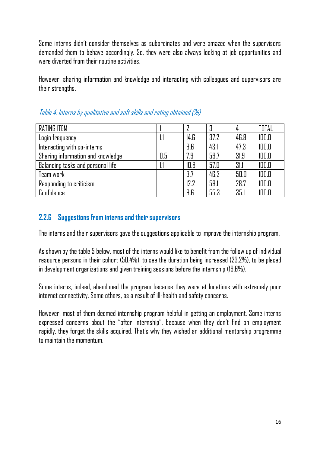Some interns didn't consider themselves as subordinates and were amazed when the supervisors demanded them to behave accordingly. So, they were also always looking at job opportunities and were diverted from their routine activities.

However, sharing information and knowledge and interacting with colleagues and supervisors are their strengths.

| <b>RATING ITEM</b>                |     | ŋ    | 3    |      | TOTAL |
|-----------------------------------|-----|------|------|------|-------|
| Login frequency                   |     | 14.6 | 37.2 | 46.8 | 100.0 |
| Interacting with co-interns       |     | 9.6  | 43.1 | 47.3 | 100.0 |
| Sharing information and knowledge | 0.5 | 7.9  | 59.7 | 31.9 | 100.0 |
| Balancing tasks and personal life |     | 10.8 | 57.0 | 31.1 | 100.0 |
| Team work                         |     | 3.7  | 46.3 | 50.0 | 100.0 |
| Responding to criticism           |     | 12.2 | 59.1 | 28.7 | 100.0 |
| Confidence                        |     | 9.6  | 55.3 | 35.1 | 100.0 |

Table 4: Interns by qualitative and soft skills and rating obtained (%)

#### **2.2.6 Suggestions from interns and their supervisors**

The interns and their supervisors gave the suggestions applicable to improve the internship program.

As shown by the table 5 below, most of the interns would like to benefit from the follow up of individual resource persons in their cohort (50.4%), to see the duration being increased (23.2%), to be placed in development organizations and given training sessions before the internship (19.6%).

Some interns, indeed, abandoned the program because they were at locations with extremely poor internet connectivity. Some others, as a result of ill-health and safety concerns.

However, most of them deemed internship program helpful in getting an employment. Some interns expressed concerns about the "after internship", because when they don't find an employment rapidly, they forget the skills acquired. That's why they wished an additional mentorship programme to maintain the momentum.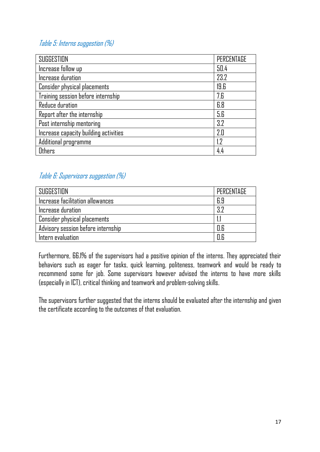#### Table 5: Interns suggestion (%)

| SUGGESTION                            | PERCENTAGE |
|---------------------------------------|------------|
| Increase follow up                    | 50.4       |
| Increase duration                     | 23.2       |
| Consider physical placements          | 19.6       |
| Training session before internship    | 7.6        |
| Reduce duration                       | 6.8        |
| Report after the internship           | 5.6        |
| Post internship mentoring             | 3.2        |
| Increase capacity building activities | 2.0        |
| Additional programme                  | 1.2        |
| <b>Others</b>                         | 4.4        |

### Table 6: Supervisors suggestion (%)

| SUGGESTION                          | PERCENTAGE |
|-------------------------------------|------------|
| Increase facilitation allowances    | 6.9        |
| Increase duration                   | 3.7        |
| $\mid$ Consider physical placements |            |
| Advisory session before internship  | 0.6        |
| Intern evaluation                   | N R        |

Furthermore, 66.1% of the supervisors had a positive opinion of the interns. They appreciated their behaviors such as eager for tasks, quick learning, politeness, teamwork and would be ready to recommend some for job. Some supervisors however advised the interns to have more skills (especially in ICT), critical thinking and teamwork and problem-solving skills.

The supervisors further suggested that the interns should be evaluated after the internship and given the certificate according to the outcomes of that evaluation.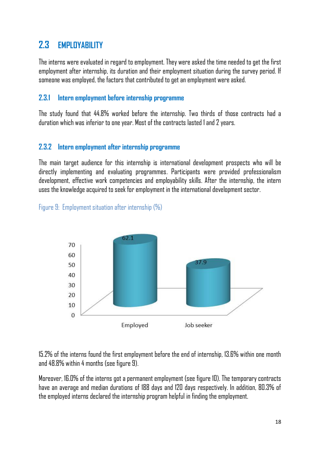# **2.3 EMPLOYABILITY**

The interns were evaluated in regard to employment. They were asked the time needed to get the first employment after internship, its duration and their employment situation during the survey period. If someone was employed, the factors that contributed to get an employment were asked.

#### **2.3.1 Intern employment before internship programme**

The study found that 44.8% worked before the internship. Two thirds of those contracts had a duration which was inferior to one year. Most of the contracts lasted 1 and 2 years.

#### **2.3.2 Intern employment after internship programme**

The main target audience for this internship is international development prospects who will be directly implementing and evaluating programmes. Participants were provided professionalism development, effective work competencies and employability skills. After the internship, the intern uses the knowledge acquired to seek for employment in the international development sector.

Figure 9: Employment situation after internship (%)



15.2% of the interns found the first employment before the end of internship, 13.6% within one month and 48.8% within 4 months (see figure 9).

Moreover, 16.0% of the interns got a permanent employment (see figure 10). The temporary contracts have an average and median durations of 188 days and 120 days respectively. In addition, 80.3% of the employed interns declared the internship program helpful in finding the employment.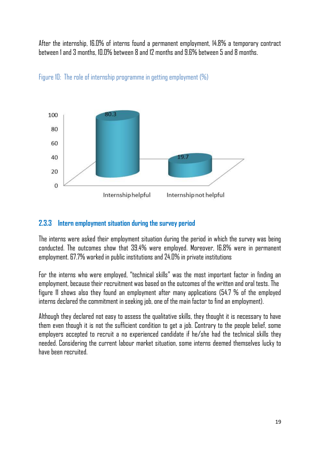After the internship, 16.0% of interns found a permanent employment, 14.8% a temporary contract between 1 and 3 months, 10.0% between 8 and 12 months and 9.6% between 5 and 8 months.



Figure 10: The role of internship programme in getting employment (%)

#### **2.3.3 Intern employment situation during the survey period**

The interns were asked their employment situation during the period in which the survey was being conducted. The outcomes show that 39.4% were employed. Moreover, 16.8% were in permanent employment. 67.7% worked in public institutions and 24.0% in private institutions

For the interns who were employed, "technical skills" was the most important factor in finding an employment, because their recruitment was based on the outcomes of the written and oral tests. The figure 11 shows also they found an employment after many applications (54.7 % of the employed interns declared the commitment in seeking job, one of the main factor to find an employment).

Although they declared not easy to assess the qualitative skills, they thought it is necessary to have them even though it is not the sufficient condition to get a job. Contrary to the people belief, some employers accepted to recruit a no experienced candidate if he/she had the technical skills they needed. Considering the current labour market situation, some interns deemed themselves lucky to have been recruited.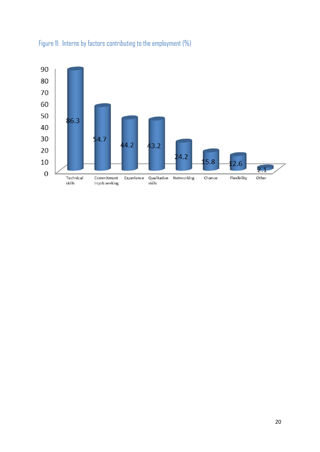

## Figure 11: Interns by factors contributing to the employment (%)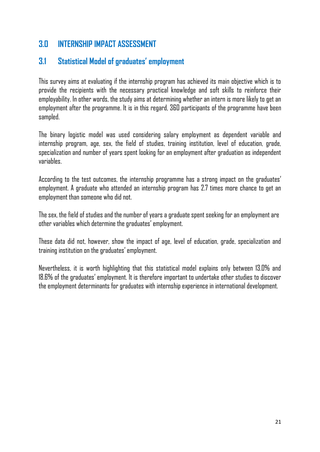# **3.0 INTERNSHIP IMPACT ASSESSMENT**

## **3.1 Statistical Model of graduates' employment**

This survey aims at evaluating if the internship program has achieved its main objective which is to provide the recipients with the necessary practical knowledge and soft skills to reinforce their employability. In other words, the study aims at determining whether an intern is more likely to get an employment after the programme. It is in this regard, 360 participants of the programme have been sampled.

The binary logistic model was used considering salary employment as dependent variable and internship program, age, sex, the field of studies, training institution, level of education, grade, specialization and number of years spent looking for an employment after graduation as independent variables.

According to the test outcomes, the internship programme has a strong impact on the graduates' employment. A graduate who attended an internship program has 2.7 times more chance to get an employment than someone who did not.

The sex, the field of studies and the number of years a graduate spent seeking for an employment are other variables which determine the graduates' employment.

These data did not, however, show the impact of age, level of education, grade, specialization and training institution on the graduates' employment.

Nevertheless, it is worth highlighting that this statistical model explains only between 13.0% and 18.6% of the graduates' employment. It is therefore important to undertake other studies to discover the employment determinants for graduates with internship experience in international development.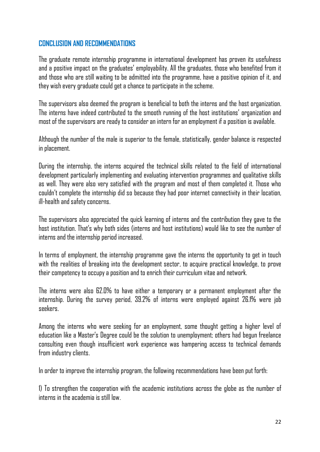#### **CONCLUSION AND RECOMMENDATIONS**

The graduate remote internship programme in international development has proven its usefulness and a positive impact on the graduates' employability. All the graduates, those who benefited from it and those who are still waiting to be admitted into the programme, have a positive opinion of it, and they wish every graduate could get a chance to participate in the scheme.

The supervisors also deemed the program is beneficial to both the interns and the host organization. The interns have indeed contributed to the smooth running of the host institutions' organization and most of the supervisors are ready to consider an intern for an employment if a position is available.

Although the number of the male is superior to the female, statistically, gender balance is respected in placement.

During the internship, the interns acquired the technical skills related to the field of international development particularly implementing and evaluating intervention programmes and qualitative skills as well. They were also very satisfied with the program and most of them completed it. Those who couldn't complete the internship did so because they had poor internet connectivity in their location, ill-health and safety concerns.

The supervisors also appreciated the quick learning of interns and the contribution they gave to the host institution. That's why both sides (interns and host institutions) would like to see the number of interns and the internship period increased.

In terms of employment, the internship programme gave the interns the opportunity to get in touch with the realities of breaking into the development sector, to acquire practical knowledge, to prove their competency to occupy a position and to enrich their curriculum vitae and network.

The interns were also 62.0% to have either a temporary or a permanent employment after the internship. During the survey period, 39.2% of interns were employed against 26.1% were job seekers.

Among the interns who were seeking for an employment, some thought getting a higher level of education like a Master's Degree could be the solution to unemployment; others had begun freelance consulting even though insufficient work experience was hampering access to technical demands from industry clients.

In order to improve the internship program, the following recommendations have been put forth:

1) To strengthen the cooperation with the academic institutions across the globe as the number of interns in the academia is still low.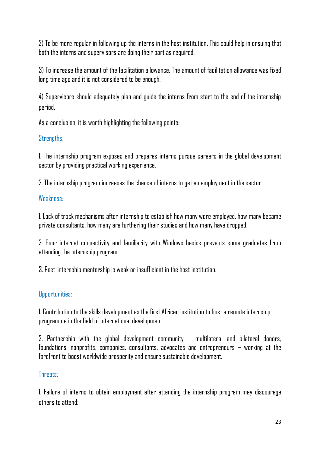2) To be more regular in following up the interns in the host institution. This could help in ensuing that both the interns and supervisors are doing their part as required.

3) To increase the amount of the facilitation allowance. The amount of facilitation allowance was fixed long time ago and it is not considered to be enough.

4) Supervisors should adequately plan and guide the interns from start to the end of the internship period.

As a conclusion, it is worth highlighting the following points:

#### Strengths:

1. The internship program exposes and prepares interns pursue careers in the global development sector by providing practical working experience.

2. The internship program increases the chance of interns to get an employment in the sector.

#### Weakness:

1. Lack of track mechanisms after internship to establish how many were employed, how many became private consultants, how many are furthering their studies and how many have dropped.

2. Poor internet connectivity and familiarity with Windows basics prevents some graduates from attending the internship program.

3. Post-internship mentorship is weak or insufficient in the host institution.

#### Opportunities:

1. Contribution to the skills development as the first African institution to host a remote internship programme in the field of international development.

2. Partnership with the global development community – multilateral and bilateral donors, foundations, nonprofits, companies, consultants, advocates and entrepreneurs – working at the forefront to boost worldwide prosperity and ensure sustainable development.

#### Threats:

1. Failure of interns to obtain employment after attending the internship program may discourage others to attend;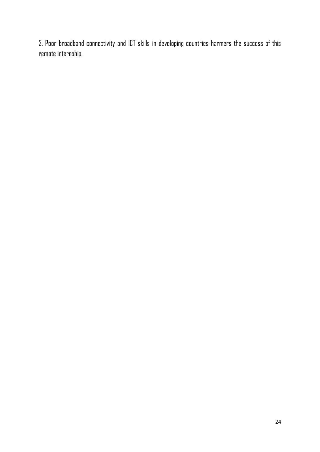2. Poor broadband connectivity and ICT skills in developing countries harmers the success of this remote internship.